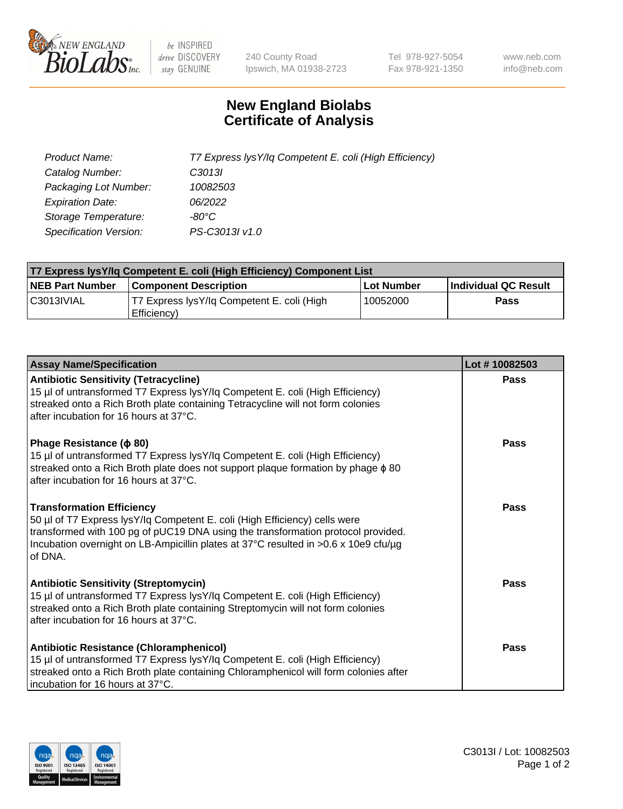

 $be$  INSPIRED drive DISCOVERY stay GENUINE

240 County Road Ipswich, MA 01938-2723 Tel 978-927-5054 Fax 978-921-1350 www.neb.com info@neb.com

## **New England Biolabs Certificate of Analysis**

| Product Name:                 | T7 Express lysY/lq Competent E. coli (High Efficiency) |
|-------------------------------|--------------------------------------------------------|
| Catalog Number:               | C <sub>3013</sub>                                      |
| Packaging Lot Number:         | 10082503                                               |
| <b>Expiration Date:</b>       | 06/2022                                                |
| Storage Temperature:          | $-80^{\circ}$ C                                        |
| <b>Specification Version:</b> | PS-C3013I v1.0                                         |

| T7 Express lysY/lq Competent E. coli (High Efficiency) Component List |                                                           |            |                      |  |
|-----------------------------------------------------------------------|-----------------------------------------------------------|------------|----------------------|--|
| <b>NEB Part Number</b>                                                | <b>Component Description</b>                              | Lot Number | Individual QC Result |  |
| C3013IVIAL                                                            | T7 Express lysY/lg Competent E. coli (High<br>Efficiency) | 10052000   | <b>Pass</b>          |  |

| <b>Assay Name/Specification</b>                                                                                                                                                                                                                                                                      | Lot #10082503 |
|------------------------------------------------------------------------------------------------------------------------------------------------------------------------------------------------------------------------------------------------------------------------------------------------------|---------------|
| <b>Antibiotic Sensitivity (Tetracycline)</b><br>15 µl of untransformed T7 Express lysY/lq Competent E. coli (High Efficiency)<br>streaked onto a Rich Broth plate containing Tetracycline will not form colonies<br>after incubation for 16 hours at 37°C.                                           | Pass          |
| Phage Resistance ( $\phi$ 80)<br>15 µl of untransformed T7 Express lysY/lq Competent E. coli (High Efficiency)<br>streaked onto a Rich Broth plate does not support plaque formation by phage $\phi$ 80<br>after incubation for 16 hours at 37°C.                                                    | Pass          |
| <b>Transformation Efficiency</b><br>50 µl of T7 Express lysY/lq Competent E. coli (High Efficiency) cells were<br>transformed with 100 pg of pUC19 DNA using the transformation protocol provided.<br>Incubation overnight on LB-Ampicillin plates at 37°C resulted in >0.6 x 10e9 cfu/µg<br>of DNA. | Pass          |
| <b>Antibiotic Sensitivity (Streptomycin)</b><br>15 µl of untransformed T7 Express lysY/lq Competent E. coli (High Efficiency)<br>streaked onto a Rich Broth plate containing Streptomycin will not form colonies<br>after incubation for 16 hours at 37°C.                                           | <b>Pass</b>   |
| Antibiotic Resistance (Chloramphenicol)<br>15 µl of untransformed T7 Express lysY/lq Competent E. coli (High Efficiency)<br>streaked onto a Rich Broth plate containing Chloramphenicol will form colonies after<br>incubation for 16 hours at 37°C.                                                 | Pass          |